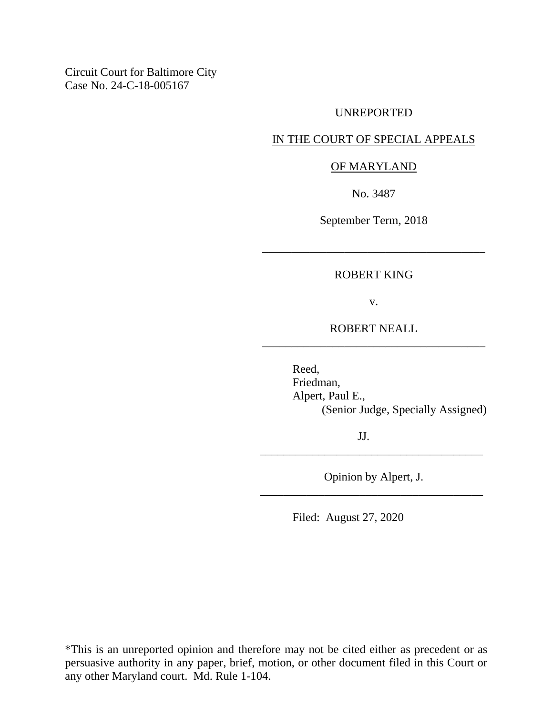Circuit Court for Baltimore City Case No. 24-C-18-005167

#### UNREPORTED

## IN THE COURT OF SPECIAL APPEALS

#### OF MARYLAND

No. 3487

September Term, 2018

## ROBERT KING

\_\_\_\_\_\_\_\_\_\_\_\_\_\_\_\_\_\_\_\_\_\_\_\_\_\_\_\_\_\_\_\_\_\_\_\_\_\_

v.

ROBERT NEALL \_\_\_\_\_\_\_\_\_\_\_\_\_\_\_\_\_\_\_\_\_\_\_\_\_\_\_\_\_\_\_\_\_\_\_\_\_\_

> Reed, Friedman, Alpert, Paul E., (Senior Judge, Specially Assigned)

> > JJ.

Opinion by Alpert, J. \_\_\_\_\_\_\_\_\_\_\_\_\_\_\_\_\_\_\_\_\_\_\_\_\_\_\_\_\_\_\_\_\_\_\_\_\_\_

\_\_\_\_\_\_\_\_\_\_\_\_\_\_\_\_\_\_\_\_\_\_\_\_\_\_\_\_\_\_\_\_\_\_\_\_\_\_

Filed: August 27, 2020

\*This is an unreported opinion and therefore may not be cited either as precedent or as persuasive authority in any paper, brief, motion, or other document filed in this Court or any other Maryland court. Md. Rule 1-104.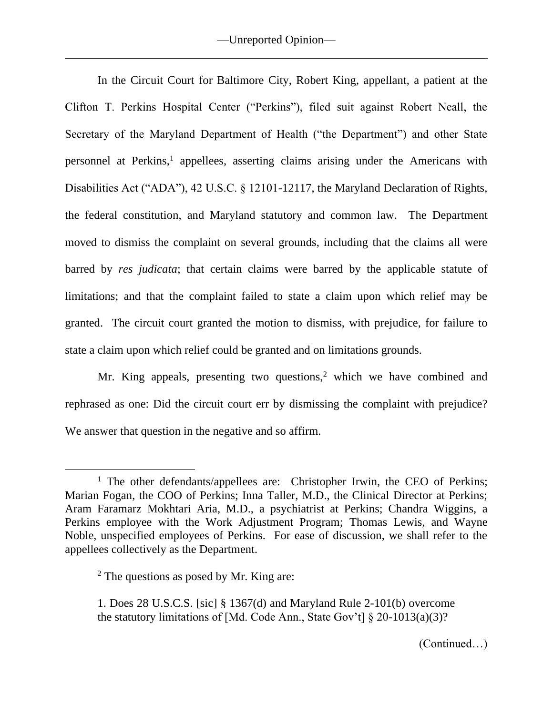In the Circuit Court for Baltimore City, Robert King, appellant, a patient at the Clifton T. Perkins Hospital Center ("Perkins"), filed suit against Robert Neall, the Secretary of the Maryland Department of Health ("the Department") and other State personnel at Perkins,<sup>1</sup> appellees, asserting claims arising under the Americans with Disabilities Act ("ADA"), 42 U.S.C. § 12101-12117, the Maryland Declaration of Rights, the federal constitution, and Maryland statutory and common law. The Department moved to dismiss the complaint on several grounds, including that the claims all were barred by *res judicata*; that certain claims were barred by the applicable statute of limitations; and that the complaint failed to state a claim upon which relief may be granted. The circuit court granted the motion to dismiss, with prejudice, for failure to state a claim upon which relief could be granted and on limitations grounds.

Mr. King appeals, presenting two questions,<sup>2</sup> which we have combined and rephrased as one: Did the circuit court err by dismissing the complaint with prejudice? We answer that question in the negative and so affirm.

<sup>&</sup>lt;sup>1</sup> The other defendants/appellees are: Christopher Irwin, the CEO of Perkins; Marian Fogan, the COO of Perkins; Inna Taller, M.D., the Clinical Director at Perkins; Aram Faramarz Mokhtari Aria, M.D., a psychiatrist at Perkins; Chandra Wiggins, a Perkins employee with the Work Adjustment Program; Thomas Lewis, and Wayne Noble, unspecified employees of Perkins. For ease of discussion, we shall refer to the appellees collectively as the Department.

 $2$  The questions as posed by Mr. King are:

<sup>1.</sup> Does 28 U.S.C.S. [sic] § 1367(d) and Maryland Rule 2-101(b) overcome the statutory limitations of [Md. Code Ann., State Gov't]  $\S 20-1013(a)(3)$ ?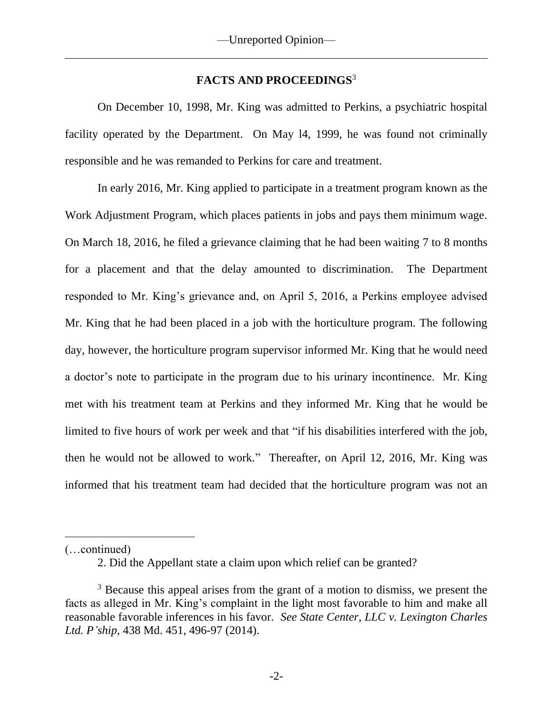# **FACTS AND PROCEEDINGS**<sup>3</sup>

On December 10, 1998, Mr. King was admitted to Perkins, a psychiatric hospital facility operated by the Department. On May l4, 1999, he was found not criminally responsible and he was remanded to Perkins for care and treatment.

In early 2016, Mr. King applied to participate in a treatment program known as the Work Adjustment Program, which places patients in jobs and pays them minimum wage. On March 18, 2016, he filed a grievance claiming that he had been waiting 7 to 8 months for a placement and that the delay amounted to discrimination. The Department responded to Mr. King's grievance and, on April 5, 2016, a Perkins employee advised Mr. King that he had been placed in a job with the horticulture program. The following day, however, the horticulture program supervisor informed Mr. King that he would need a doctor's note to participate in the program due to his urinary incontinence. Mr. King met with his treatment team at Perkins and they informed Mr. King that he would be limited to five hours of work per week and that "if his disabilities interfered with the job, then he would not be allowed to work." Thereafter, on April 12, 2016, Mr. King was informed that his treatment team had decided that the horticulture program was not an

(…continued)

<sup>2.</sup> Did the Appellant state a claim upon which relief can be granted?

<sup>&</sup>lt;sup>3</sup> Because this appeal arises from the grant of a motion to dismiss, we present the facts as alleged in Mr. King's complaint in the light most favorable to him and make all reasonable favorable inferences in his favor. *See State Center, LLC v. Lexington Charles Ltd. P'ship*, 438 Md. 451, 496-97 (2014).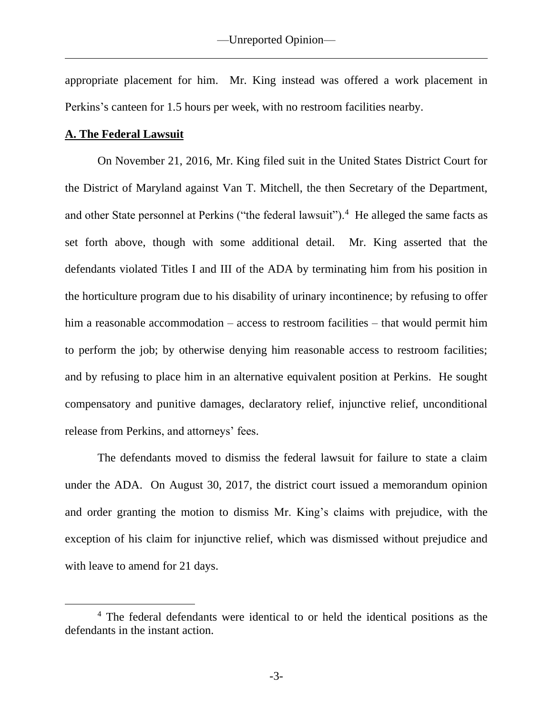appropriate placement for him. Mr. King instead was offered a work placement in Perkins's canteen for 1.5 hours per week, with no restroom facilities nearby.

### **A. The Federal Lawsuit**

On November 21, 2016, Mr. King filed suit in the United States District Court for the District of Maryland against Van T. Mitchell, the then Secretary of the Department, and other State personnel at Perkins ("the federal lawsuit").<sup>4</sup> He alleged the same facts as set forth above, though with some additional detail. Mr. King asserted that the defendants violated Titles I and III of the ADA by terminating him from his position in the horticulture program due to his disability of urinary incontinence; by refusing to offer him a reasonable accommodation – access to restroom facilities – that would permit him to perform the job; by otherwise denying him reasonable access to restroom facilities; and by refusing to place him in an alternative equivalent position at Perkins. He sought compensatory and punitive damages, declaratory relief, injunctive relief, unconditional release from Perkins, and attorneys' fees.

The defendants moved to dismiss the federal lawsuit for failure to state a claim under the ADA. On August 30, 2017, the district court issued a memorandum opinion and order granting the motion to dismiss Mr. King's claims with prejudice, with the exception of his claim for injunctive relief, which was dismissed without prejudice and with leave to amend for 21 days.

<sup>4</sup> The federal defendants were identical to or held the identical positions as the defendants in the instant action.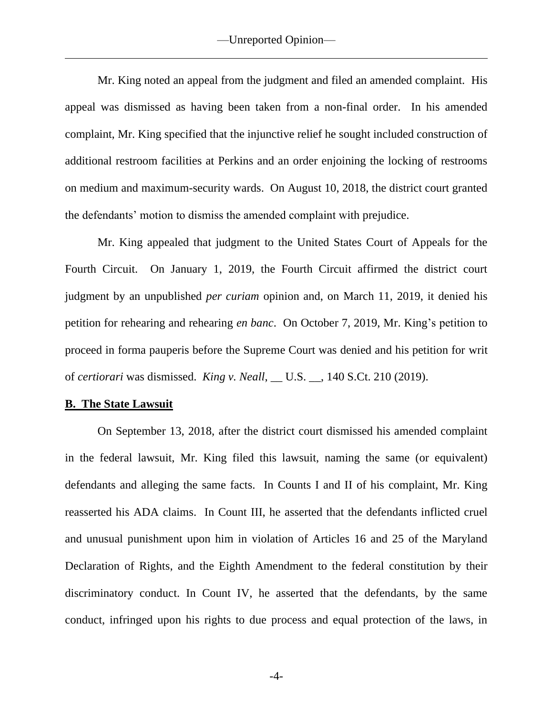Mr. King noted an appeal from the judgment and filed an amended complaint. His appeal was dismissed as having been taken from a non-final order. In his amended complaint, Mr. King specified that the injunctive relief he sought included construction of additional restroom facilities at Perkins and an order enjoining the locking of restrooms on medium and maximum-security wards. On August 10, 2018, the district court granted the defendants' motion to dismiss the amended complaint with prejudice.

Mr. King appealed that judgment to the United States Court of Appeals for the Fourth Circuit. On January 1, 2019, the Fourth Circuit affirmed the district court judgment by an unpublished *per curiam* opinion and, on March 11, 2019, it denied his petition for rehearing and rehearing *en banc*. On October 7, 2019, Mr. King's petition to proceed in forma pauperis before the Supreme Court was denied and his petition for writ of *certiorari* was dismissed. *King v. Neall*, \_\_ U.S. \_\_, 140 S.Ct. 210 (2019).

# **B. The State Lawsuit**

On September 13, 2018, after the district court dismissed his amended complaint in the federal lawsuit, Mr. King filed this lawsuit, naming the same (or equivalent) defendants and alleging the same facts. In Counts I and II of his complaint, Mr. King reasserted his ADA claims. In Count III, he asserted that the defendants inflicted cruel and unusual punishment upon him in violation of Articles 16 and 25 of the Maryland Declaration of Rights, and the Eighth Amendment to the federal constitution by their discriminatory conduct. In Count IV, he asserted that the defendants, by the same conduct, infringed upon his rights to due process and equal protection of the laws, in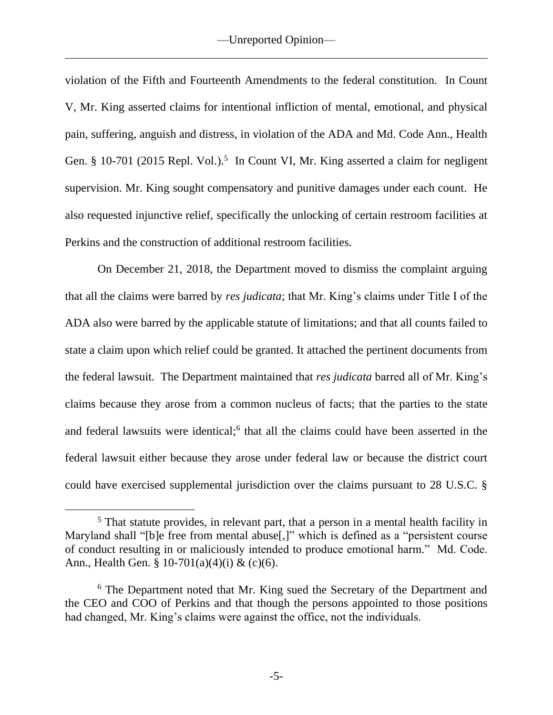violation of the Fifth and Fourteenth Amendments to the federal constitution. In Count V, Mr. King asserted claims for intentional infliction of mental, emotional, and physical pain, suffering, anguish and distress, in violation of the ADA and Md. Code Ann., Health Gen. § 10-701 (2015 Repl. Vol.).<sup>5</sup> In Count VI, Mr. King asserted a claim for negligent supervision. Mr. King sought compensatory and punitive damages under each count. He also requested injunctive relief, specifically the unlocking of certain restroom facilities at Perkins and the construction of additional restroom facilities.

On December 21, 2018, the Department moved to dismiss the complaint arguing that all the claims were barred by *res judicata*; that Mr. King's claims under Title I of the ADA also were barred by the applicable statute of limitations; and that all counts failed to state a claim upon which relief could be granted. It attached the pertinent documents from the federal lawsuit. The Department maintained that *res judicata* barred all of Mr. King's claims because they arose from a common nucleus of facts; that the parties to the state and federal lawsuits were identical; 6 that all the claims could have been asserted in the federal lawsuit either because they arose under federal law or because the district court could have exercised supplemental jurisdiction over the claims pursuant to 28 U.S.C. §

<sup>&</sup>lt;sup>5</sup> That statute provides, in relevant part, that a person in a mental health facility in Maryland shall "[b]e free from mental abuse[,]" which is defined as a "persistent course of conduct resulting in or maliciously intended to produce emotional harm." Md. Code. Ann., Health Gen. § 10-701(a)(4)(i) & (c)(6).

<sup>&</sup>lt;sup>6</sup> The Department noted that Mr. King sued the Secretary of the Department and the CEO and COO of Perkins and that though the persons appointed to those positions had changed, Mr. King's claims were against the office, not the individuals.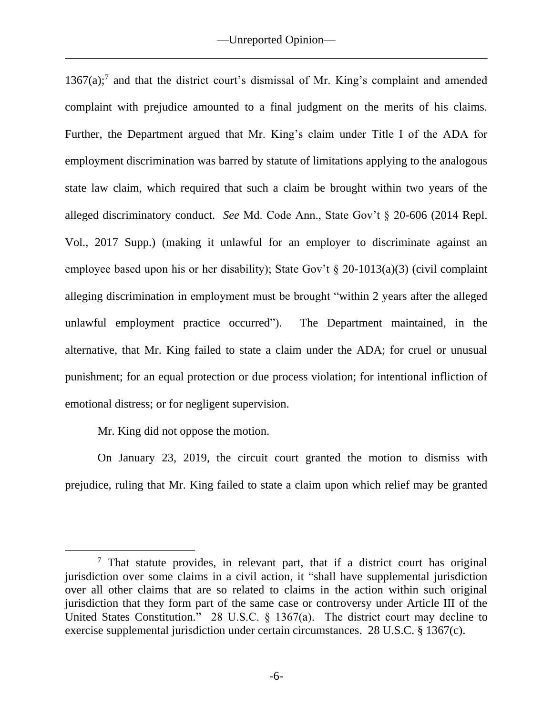$1367(a)$ ;<sup>7</sup> and that the district court's dismissal of Mr. King's complaint and amended complaint with prejudice amounted to a final judgment on the merits of his claims. Further, the Department argued that Mr. King's claim under Title I of the ADA for employment discrimination was barred by statute of limitations applying to the analogous state law claim, which required that such a claim be brought within two years of the alleged discriminatory conduct. *See* Md. Code Ann., State Gov't § 20-606 (2014 Repl. Vol., 2017 Supp.) (making it unlawful for an employer to discriminate against an employee based upon his or her disability); State Gov't  $\S$  20-1013(a)(3) (civil complaint alleging discrimination in employment must be brought "within 2 years after the alleged unlawful employment practice occurred"). The Department maintained, in the alternative, that Mr. King failed to state a claim under the ADA; for cruel or unusual punishment; for an equal protection or due process violation; for intentional infliction of emotional distress; or for negligent supervision.

Mr. King did not oppose the motion.

On January 23, 2019, the circuit court granted the motion to dismiss with prejudice, ruling that Mr. King failed to state a claim upon which relief may be granted

 $<sup>7</sup>$  That statute provides, in relevant part, that if a district court has original</sup> jurisdiction over some claims in a civil action, it "shall have supplemental jurisdiction over all other claims that are so related to claims in the action within such original jurisdiction that they form part of the same case or controversy under Article III of the United States Constitution." 28 U.S.C. § 1367(a). The district court may decline to exercise supplemental jurisdiction under certain circumstances. 28 U.S.C. § 1367(c).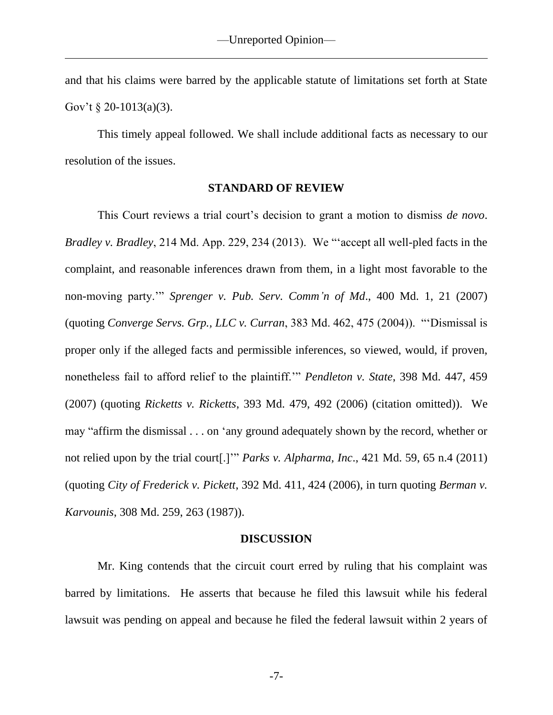and that his claims were barred by the applicable statute of limitations set forth at State Gov't  $\S 20 - 1013(a)(3)$ .

This timely appeal followed. We shall include additional facts as necessary to our resolution of the issues.

### **STANDARD OF REVIEW**

This Court reviews a trial court's decision to grant a motion to dismiss *de novo*. *Bradley v. Bradley*, 214 Md. App. 229, 234 (2013). We "'accept all well-pled facts in the complaint, and reasonable inferences drawn from them, in a light most favorable to the non-moving party.'" *Sprenger v. Pub. Serv. Comm'n of Md*., 400 Md. 1, 21 (2007) (quoting *Converge Servs. Grp., LLC v. Curran*, 383 Md. 462, 475 (2004)). "'Dismissal is proper only if the alleged facts and permissible inferences, so viewed, would, if proven, nonetheless fail to afford relief to the plaintiff.'" *Pendleton v. State*, 398 Md. 447, 459 (2007) (quoting *Ricketts v. Ricketts*, 393 Md. 479, 492 (2006) (citation omitted)). We may "affirm the dismissal . . . on 'any ground adequately shown by the record, whether or not relied upon by the trial court[.]'" *Parks v. Alpharma, Inc*., 421 Md. 59, 65 n.4 (2011) (quoting *City of Frederick v. Pickett*, 392 Md. 411, 424 (2006), in turn quoting *Berman v. Karvounis*, 308 Md. 259, 263 (1987)).

### **DISCUSSION**

Mr. King contends that the circuit court erred by ruling that his complaint was barred by limitations. He asserts that because he filed this lawsuit while his federal lawsuit was pending on appeal and because he filed the federal lawsuit within 2 years of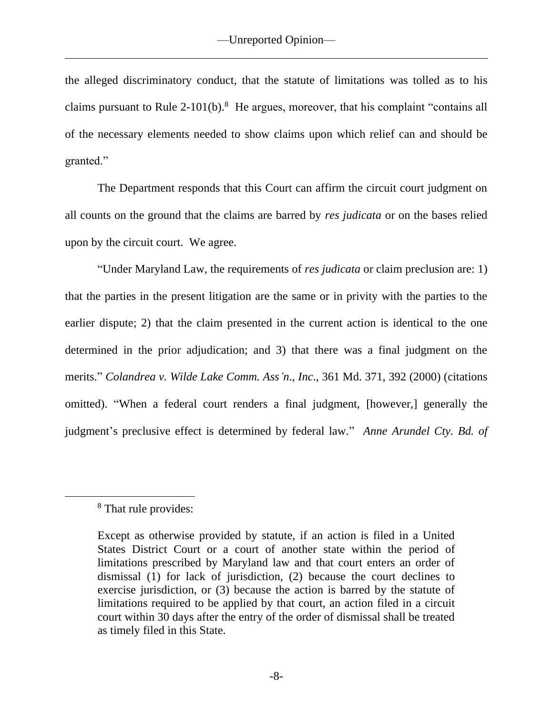the alleged discriminatory conduct, that the statute of limitations was tolled as to his claims pursuant to Rule 2-101(b). $8$  He argues, moreover, that his complaint "contains all of the necessary elements needed to show claims upon which relief can and should be granted."

The Department responds that this Court can affirm the circuit court judgment on all counts on the ground that the claims are barred by *res judicata* or on the bases relied upon by the circuit court. We agree.

"Under Maryland Law, the requirements of *res judicata* or claim preclusion are: 1) that the parties in the present litigation are the same or in privity with the parties to the earlier dispute; 2) that the claim presented in the current action is identical to the one determined in the prior adjudication; and 3) that there was a final judgment on the merits." *Colandrea v. Wilde Lake Comm. Ass'n*., *Inc*., 361 Md. 371, 392 (2000) (citations omitted). "When a federal court renders a final judgment, [however,] generally the judgment's preclusive effect is determined by federal law." *Anne Arundel Cty. Bd. of* 

<sup>8</sup> That rule provides:

Except as otherwise provided by statute, if an action is filed in a United States District Court or a court of another state within the period of limitations prescribed by Maryland law and that court enters an order of dismissal (1) for lack of jurisdiction, (2) because the court declines to exercise jurisdiction, or (3) because the action is barred by the statute of limitations required to be applied by that court, an action filed in a circuit court within 30 days after the entry of the order of dismissal shall be treated as timely filed in this State.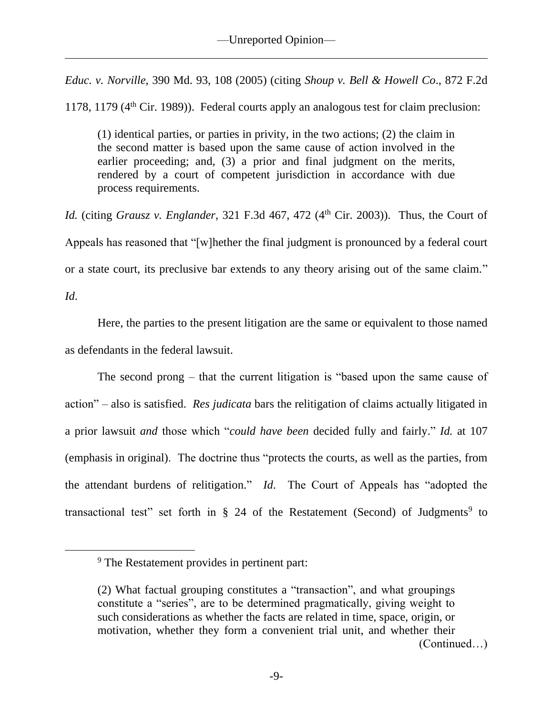*Educ. v. Norville*, 390 Md. 93, 108 (2005) (citing *Shoup v. Bell & Howell Co*., 872 F.2d

1178, 1179 (4th Cir. 1989)). Federal courts apply an analogous test for claim preclusion:

(1) identical parties, or parties in privity, in the two actions; (2) the claim in the second matter is based upon the same cause of action involved in the earlier proceeding; and, (3) a prior and final judgment on the merits, rendered by a court of competent jurisdiction in accordance with due process requirements.

*Id.* (citing *Grausz v. Englander*, 321 F.3d 467, 472 (4<sup>th</sup> Cir. 2003)). Thus, the Court of Appeals has reasoned that "[w]hether the final judgment is pronounced by a federal court or a state court, its preclusive bar extends to any theory arising out of the same claim."

*Id*.

Here, the parties to the present litigation are the same or equivalent to those named as defendants in the federal lawsuit.

The second prong – that the current litigation is "based upon the same cause of action" – also is satisfied. *Res judicata* bars the relitigation of claims actually litigated in a prior lawsuit *and* those which "*could have been* decided fully and fairly." *Id.* at 107 (emphasis in original). The doctrine thus "protects the courts, as well as the parties, from the attendant burdens of relitigation." *Id*. The Court of Appeals has "adopted the transactional test" set forth in § 24 of the Restatement (Second) of Judgments<sup>9</sup> to

<sup>9</sup> The Restatement provides in pertinent part:

<sup>(2)</sup> What factual grouping constitutes a "transaction", and what groupings constitute a "series", are to be determined pragmatically, giving weight to such considerations as whether the facts are related in time, space, origin, or motivation, whether they form a convenient trial unit, and whether their (Continued…)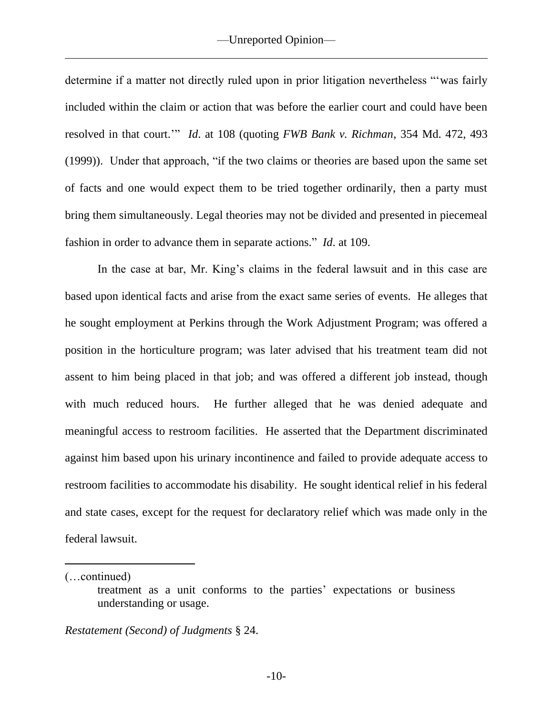determine if a matter not directly ruled upon in prior litigation nevertheless "'was fairly included within the claim or action that was before the earlier court and could have been resolved in that court.'" *Id*. at 108 (quoting *FWB Bank v. Richman*, 354 Md. 472, 493 (1999)). Under that approach, "if the two claims or theories are based upon the same set of facts and one would expect them to be tried together ordinarily, then a party must bring them simultaneously. Legal theories may not be divided and presented in piecemeal fashion in order to advance them in separate actions." *Id*. at 109.

In the case at bar, Mr. King's claims in the federal lawsuit and in this case are based upon identical facts and arise from the exact same series of events. He alleges that he sought employment at Perkins through the Work Adjustment Program; was offered a position in the horticulture program; was later advised that his treatment team did not assent to him being placed in that job; and was offered a different job instead, though with much reduced hours. He further alleged that he was denied adequate and meaningful access to restroom facilities. He asserted that the Department discriminated against him based upon his urinary incontinence and failed to provide adequate access to restroom facilities to accommodate his disability. He sought identical relief in his federal and state cases, except for the request for declaratory relief which was made only in the federal lawsuit.

(…continued)

*Restatement (Second) of Judgments* § 24.

treatment as a unit conforms to the parties' expectations or business understanding or usage.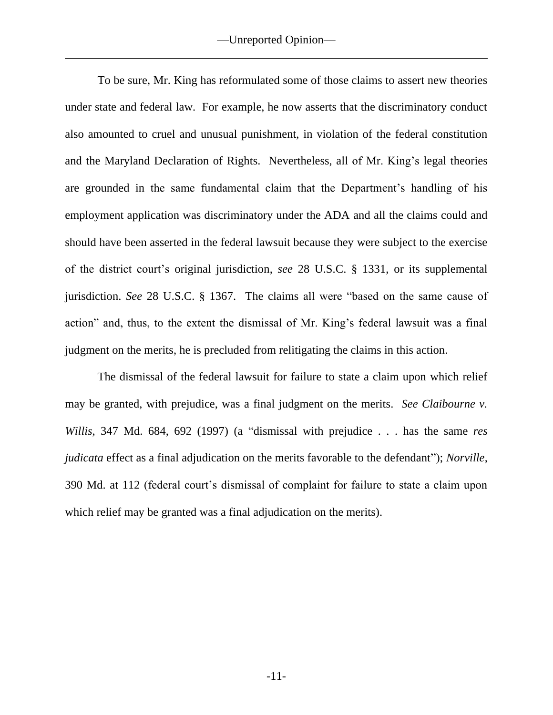To be sure, Mr. King has reformulated some of those claims to assert new theories under state and federal law. For example, he now asserts that the discriminatory conduct also amounted to cruel and unusual punishment, in violation of the federal constitution and the Maryland Declaration of Rights. Nevertheless, all of Mr. King's legal theories are grounded in the same fundamental claim that the Department's handling of his employment application was discriminatory under the ADA and all the claims could and should have been asserted in the federal lawsuit because they were subject to the exercise of the district court's original jurisdiction, *see* 28 U.S.C. § 1331, or its supplemental jurisdiction. *See* 28 U.S.C. § 1367. The claims all were "based on the same cause of action" and, thus, to the extent the dismissal of Mr. King's federal lawsuit was a final judgment on the merits, he is precluded from relitigating the claims in this action.

The dismissal of the federal lawsuit for failure to state a claim upon which relief may be granted, with prejudice, was a final judgment on the merits. *See Claibourne v. Willis*, 347 Md. 684, 692 (1997) (a "dismissal with prejudice . . . has the same *res judicata* effect as a final adjudication on the merits favorable to the defendant"); *Norville*, 390 Md. at 112 (federal court's dismissal of complaint for failure to state a claim upon which relief may be granted was a final adjudication on the merits).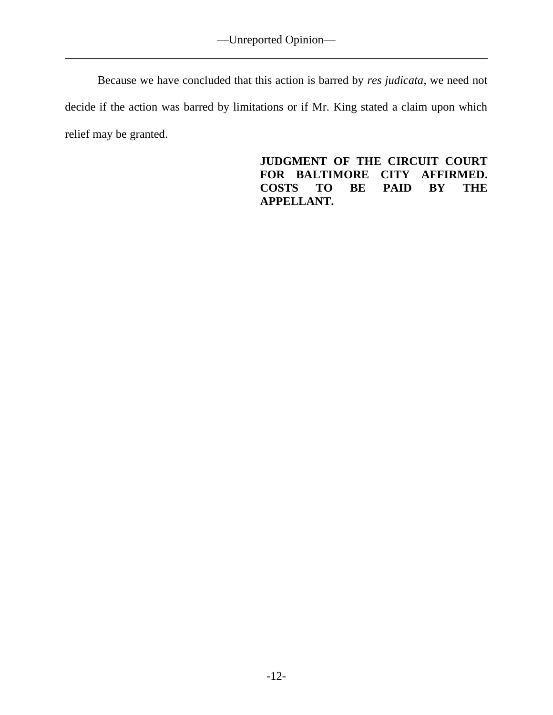Because we have concluded that this action is barred by *res judicata*, we need not decide if the action was barred by limitations or if Mr. King stated a claim upon which relief may be granted.

> **JUDGMENT OF THE CIRCUIT COURT FOR BALTIMORE CITY AFFIRMED. COSTS TO BE PAID BY THE APPELLANT.**